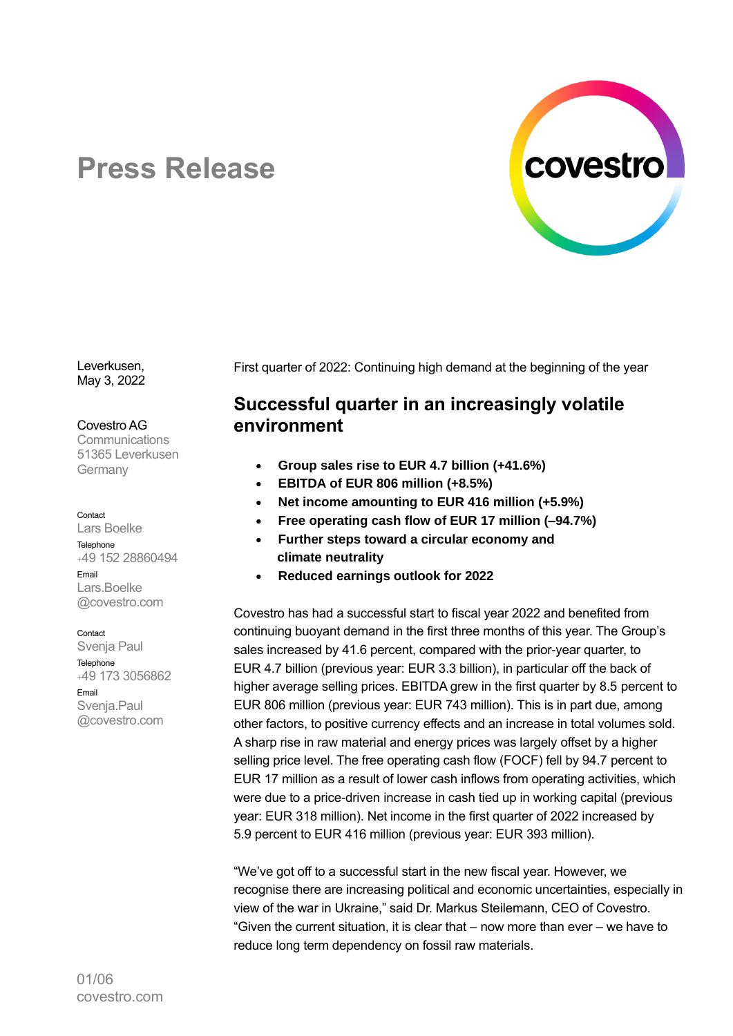

# **Press Release**

Leverkusen, May 3, 2022

#### Covestro AG

**Communications** 51365 Leverkusen Germany

#### Contact

Lars Boelke **Telephone** <sup>+</sup>49 152 28860494 Email Lars.Boelke @covestro.com

**Contact** 

Svenja Paul **Telephone** <sup>+</sup>49 173 3056862 Email Svenja.Paul @covestro.com

First quarter of 2022: Continuing high demand at the beginning of the year

## **Successful quarter in an increasingly volatile environment**

- **Group sales rise to EUR 4.7 billion (+41.6%)**
- **EBITDA of EUR 806 million (+8.5%)**
- **Net income amounting to EUR 416 million (+5.9%)**
- **Free operating cash flow of EUR 17 million (–94.7%)**
- **Further steps toward a circular economy and climate neutrality**
- **Reduced earnings outlook for 2022**

Covestro has had a successful start to fiscal year 2022 and benefited from continuing buoyant demand in the first three months of this year. The Group's sales increased by 41.6 percent, compared with the prior-year quarter, to EUR 4.7 billion (previous year: EUR 3.3 billion), in particular off the back of higher average selling prices. EBITDA grew in the first quarter by 8.5 percent to EUR 806 million (previous year: EUR 743 million). This is in part due, among other factors, to positive currency effects and an increase in total volumes sold. A sharp rise in raw material and energy prices was largely offset by a higher selling price level. The free operating cash flow (FOCF) fell by 94.7 percent to EUR 17 million as a result of lower cash inflows from operating activities, which were due to a price-driven increase in cash tied up in working capital (previous year: EUR 318 million). Net income in the first quarter of 2022 increased by 5.9 percent to EUR 416 million (previous year: EUR 393 million).

"We've got off to a successful start in the new fiscal year. However, we recognise there are increasing political and economic uncertainties, especially in view of the war in Ukraine," said Dr. Markus Steilemann, CEO of Covestro. "Given the current situation, it is clear that – now more than ever – we have to reduce long term dependency on fossil raw materials.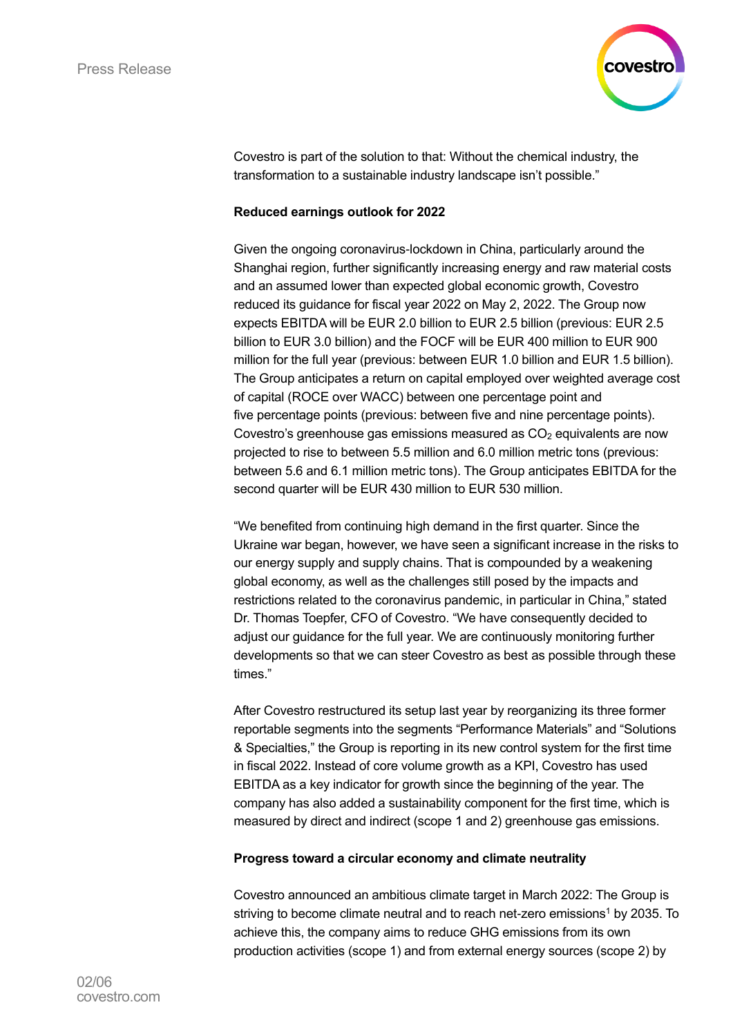

Covestro is part of the solution to that: Without the chemical industry, the transformation to a sustainable industry landscape isn't possible."

## **Reduced earnings outlook for 2022**

Given the ongoing coronavirus-lockdown in China, particularly around the Shanghai region, further significantly increasing energy and raw material costs and an assumed lower than expected global economic growth, Covestro reduced its guidance for fiscal year 2022 on May 2, 2022. The Group now expects EBITDA will be EUR 2.0 billion to EUR 2.5 billion (previous: EUR 2.5 billion to EUR 3.0 billion) and the FOCF will be EUR 400 million to EUR 900 million for the full year (previous: between EUR 1.0 billion and EUR 1.5 billion). The Group anticipates a return on capital employed over weighted average cost of capital (ROCE over WACC) between one percentage point and five percentage points (previous: between five and nine percentage points). Covestro's greenhouse gas emissions measured as  $CO<sub>2</sub>$  equivalents are now projected to rise to between 5.5 million and 6.0 million metric tons (previous: between 5.6 and 6.1 million metric tons). The Group anticipates EBITDA for the second quarter will be EUR 430 million to EUR 530 million.

"We benefited from continuing high demand in the first quarter. Since the Ukraine war began, however, we have seen a significant increase in the risks to our energy supply and supply chains. That is compounded by a weakening global economy, as well as the challenges still posed by the impacts and restrictions related to the coronavirus pandemic, in particular in China," stated Dr. Thomas Toepfer, CFO of Covestro. "We have consequently decided to adjust our guidance for the full year. We are continuously monitoring further developments so that we can steer Covestro as best as possible through these times."

After Covestro restructured its setup last year by reorganizing its three former reportable segments into the segments "Performance Materials" and "Solutions & Specialties," the Group is reporting in its new control system for the first time in fiscal 2022. Instead of core volume growth as a KPI, Covestro has used EBITDA as a key indicator for growth since the beginning of the year. The company has also added a sustainability component for the first time, which is measured by direct and indirect (scope 1 and 2) greenhouse gas emissions.

### **Progress toward a circular economy and climate neutrality**

Covestro announced an ambitious climate target in March 2022: The Group is striving to become climate neutral and to reach net-zero emissions<sup>1</sup> by 2035. To achieve this, the company aims to reduce GHG emissions from its own production activities (scope 1) and from external energy sources (scope 2) by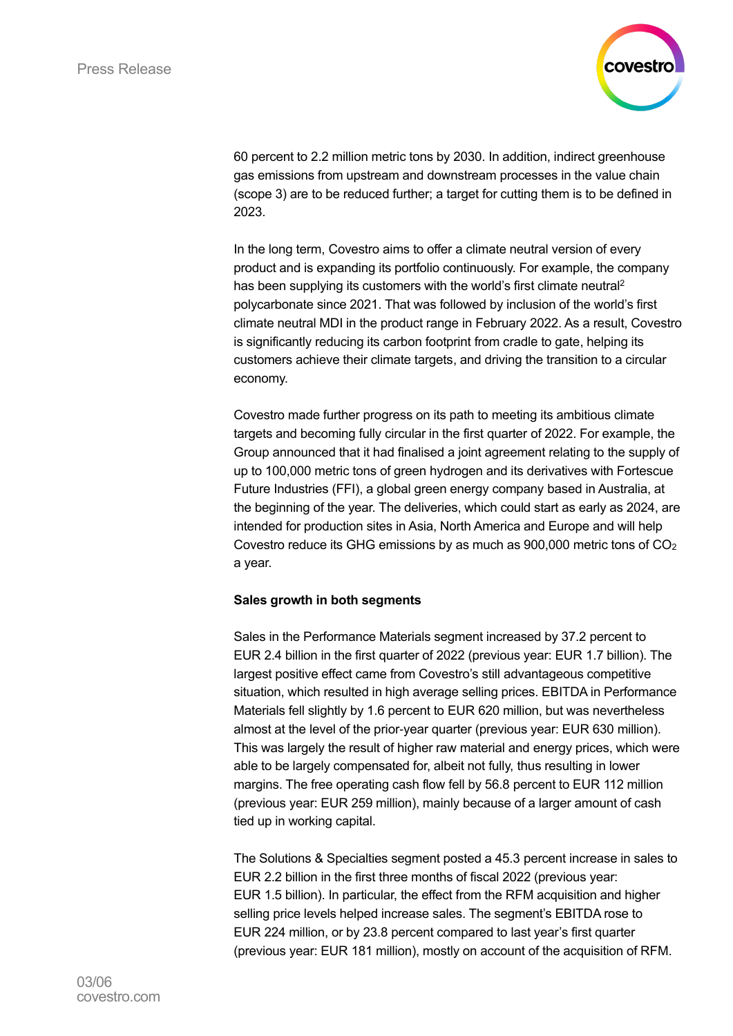

60 percent to 2.2 million metric tons by 2030. In addition, indirect greenhouse gas emissions from upstream and downstream processes in the value chain (scope 3) are to be reduced further; a target for cutting them is to be defined in 2023.

In the long term, Covestro aims to offer a climate neutral version of every product and is expanding its portfolio continuously. For example, the company has been supplying its customers with the world's first climate neutral<sup>2</sup> polycarbonate since 2021. That was followed by inclusion of the world's first climate neutral MDI in the product range in February 2022. As a result, Covestro is significantly reducing its carbon footprint from cradle to gate, helping its customers achieve their climate targets, and driving the transition to a circular economy.

Covestro made further progress on its path to meeting its ambitious climate targets and becoming fully circular in the first quarter of 2022. For example, the Group announced that it had finalised a joint agreement relating to the supply of up to 100,000 metric tons of green hydrogen and its derivatives with Fortescue Future Industries (FFI), a global green energy company based in Australia, at the beginning of the year. The deliveries, which could start as early as 2024, are intended for production sites in Asia, North America and Europe and will help Covestro reduce its GHG emissions by as much as  $900,000$  metric tons of  $CO<sub>2</sub>$ a year.

## **Sales growth in both segments**

Sales in the Performance Materials segment increased by 37.2 percent to EUR 2.4 billion in the first quarter of 2022 (previous year: EUR 1.7 billion). The largest positive effect came from Covestro's still advantageous competitive situation, which resulted in high average selling prices. EBITDA in Performance Materials fell slightly by 1.6 percent to EUR 620 million, but was nevertheless almost at the level of the prior-year quarter (previous year: EUR 630 million). This was largely the result of higher raw material and energy prices, which were able to be largely compensated for, albeit not fully, thus resulting in lower margins. The free operating cash flow fell by 56.8 percent to EUR 112 million (previous year: EUR 259 million), mainly because of a larger amount of cash tied up in working capital.

The Solutions & Specialties segment posted a 45.3 percent increase in sales to EUR 2.2 billion in the first three months of fiscal 2022 (previous year: EUR 1.5 billion). In particular, the effect from the RFM acquisition and higher selling price levels helped increase sales. The segment's EBITDA rose to EUR 224 million, or by 23.8 percent compared to last year's first quarter (previous year: EUR 181 million), mostly on account of the acquisition of RFM.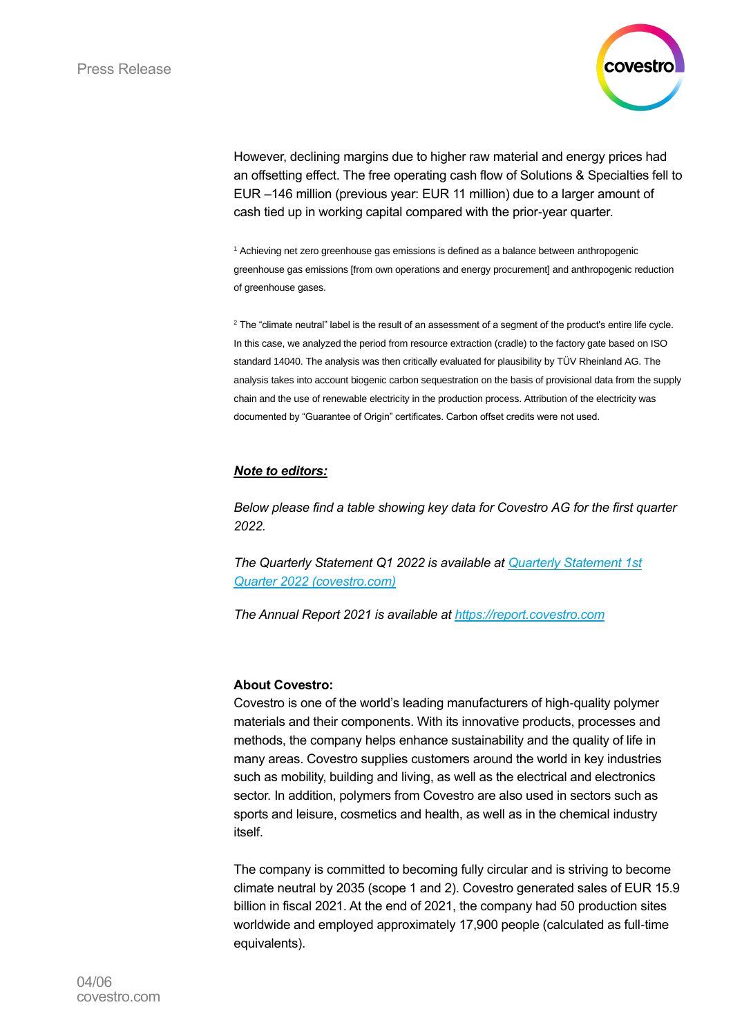

However, declining margins due to higher raw material and energy prices had an offsetting effect. The free operating cash flow of Solutions & Specialties fell to EUR –146 million (previous year: EUR 11 million) due to a larger amount of cash tied up in working capital compared with the prior-year quarter.

<sup>1</sup> Achieving net zero greenhouse gas emissions is defined as a balance between anthropogenic greenhouse gas emissions [from own operations and energy procurement] and anthropogenic reduction of greenhouse gases.

<sup>2</sup> The "climate neutral" label is the result of an assessment of a segment of the product's entire life cycle. In this case, we analyzed the period from resource extraction (cradle) to the factory gate based on ISO standard 14040. The analysis was then critically evaluated for plausibility by TÜV Rheinland AG. The analysis takes into account biogenic carbon sequestration on the basis of provisional data from the supply chain and the use of renewable electricity in the production process. Attribution of the electricity was documented by "Guarantee of Origin" certificates. Carbon offset credits were not used.

## *Note to editors:*

*Below please find a table showing key data for Covestro AG for the first quarter 2022.*

*The Quarterly Statement Q1 2022 is available at [Quarterly Statement 1st](https://report.covestro.com/quarterly-statement-q1-2022/)  [Quarter 2022 \(covestro.com\)](https://report.covestro.com/quarterly-statement-q1-2022/)*

*The Annual Report 2021 is available at [https://report.covestro.com](https://report.covestro.com/)*

### **About Covestro:**

Covestro is one of the world's leading manufacturers of high-quality polymer materials and their components. With its innovative products, processes and methods, the company helps enhance sustainability and the quality of life in many areas. Covestro supplies customers around the world in key industries such as mobility, building and living, as well as the electrical and electronics sector. In addition, polymers from Covestro are also used in sectors such as sports and leisure, cosmetics and health, as well as in the chemical industry itself.

The company is committed to becoming fully circular and is striving to become climate neutral by 2035 (scope 1 and 2). Covestro generated sales of EUR 15.9 billion in fiscal 2021. At the end of 2021, the company had 50 production sites worldwide and employed approximately 17,900 people (calculated as full-time equivalents).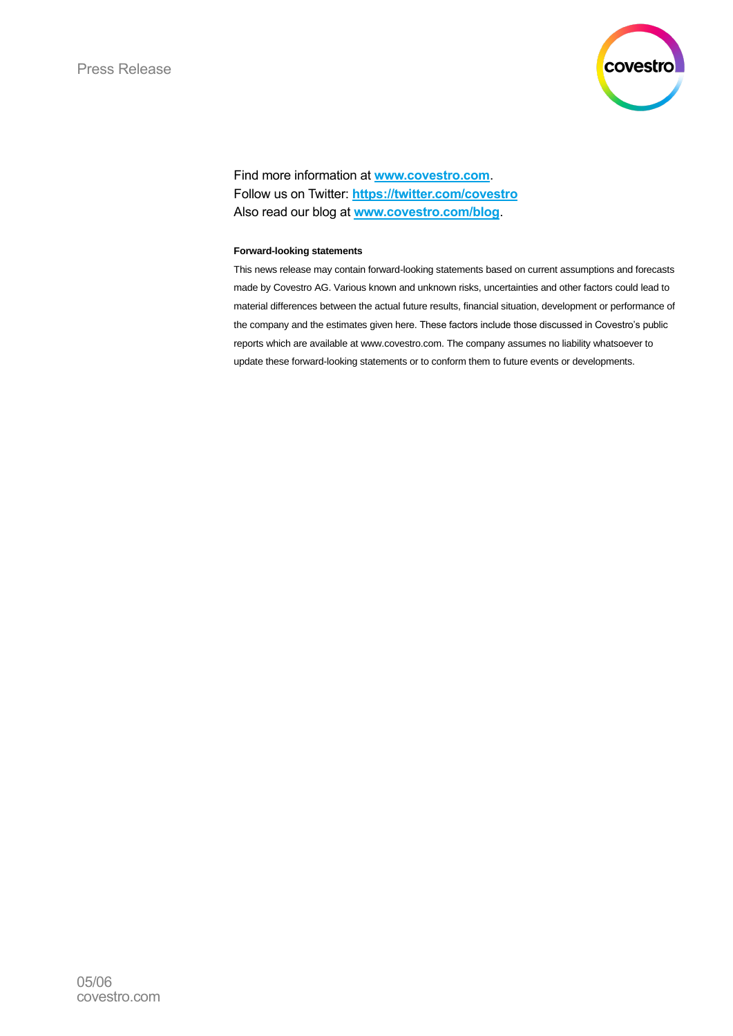

Find more information at **[www.covestro.com](http://www.covestro.com/)**. Follow us on Twitter: **[https://twitter.com/covestro](http://www.twitter.com/covestro)** Also read our blog at **[www.covestro.com/blog](http://www.covestro.com/blog)**.

#### **Forward-looking statements**

This news release may contain forward-looking statements based on current assumptions and forecasts made by Covestro AG. Various known and unknown risks, uncertainties and other factors could lead to material differences between the actual future results, financial situation, development or performance of the company and the estimates given here. These factors include those discussed in Covestro's public reports which are available at www.covestro.com. The company assumes no liability whatsoever to update these forward-looking statements or to conform them to future events or developments.